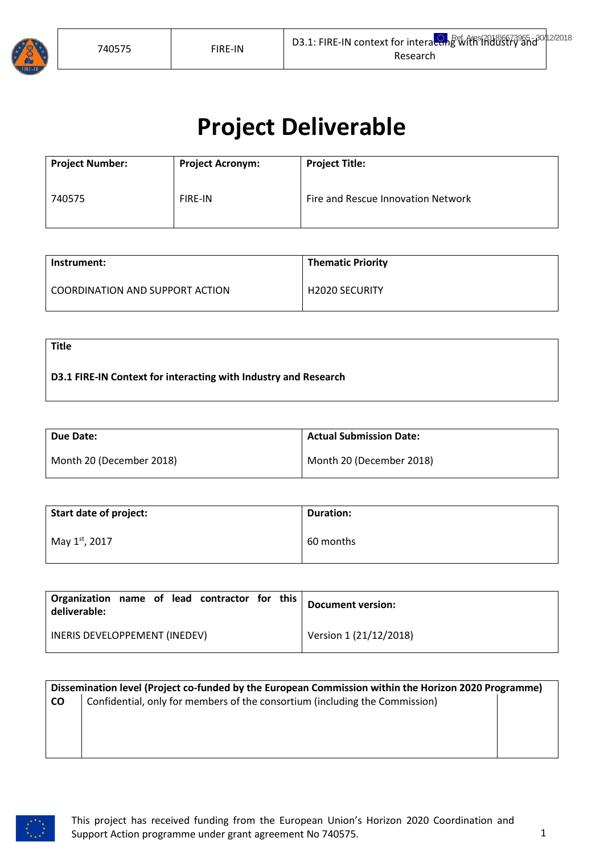

**Title**

# **Project Deliverable**

| <b>Project Number:</b> | <b>Project Acronym:</b> | <b>Project Title:</b>              |
|------------------------|-------------------------|------------------------------------|
| 740575                 | <b>FIRE-IN</b>          | Fire and Rescue Innovation Network |

| Instrument:                      | <b>Thematic Priority</b> |
|----------------------------------|--------------------------|
| LCOORDINATION AND SUPPORT ACTION | <b>H2020 SECURITY</b>    |

**D3.1 FIRE-IN Context for interacting with Industry and Research**

| Due Date:                | <b>Actual Submission Date:</b> |
|--------------------------|--------------------------------|
| Month 20 (December 2018) | Month 20 (December 2018)       |

| Start date of project: | <b>Duration:</b> |
|------------------------|------------------|
| May 1st, 2017          | 60 months        |

| Organization name of lead contractor for this<br>deliverable: | <b>Document version:</b> |
|---------------------------------------------------------------|--------------------------|
| INERIS DEVELOPPEMENT (INEDEV)                                 | Version 1 (21/12/2018)   |

|           | Dissemination level (Project co-funded by the European Commission within the Horizon 2020 Programme) |  |  |  |
|-----------|------------------------------------------------------------------------------------------------------|--|--|--|
| <b>CO</b> | Confidential, only for members of the consortium (including the Commission)                          |  |  |  |
|           |                                                                                                      |  |  |  |
|           |                                                                                                      |  |  |  |
|           |                                                                                                      |  |  |  |
|           |                                                                                                      |  |  |  |

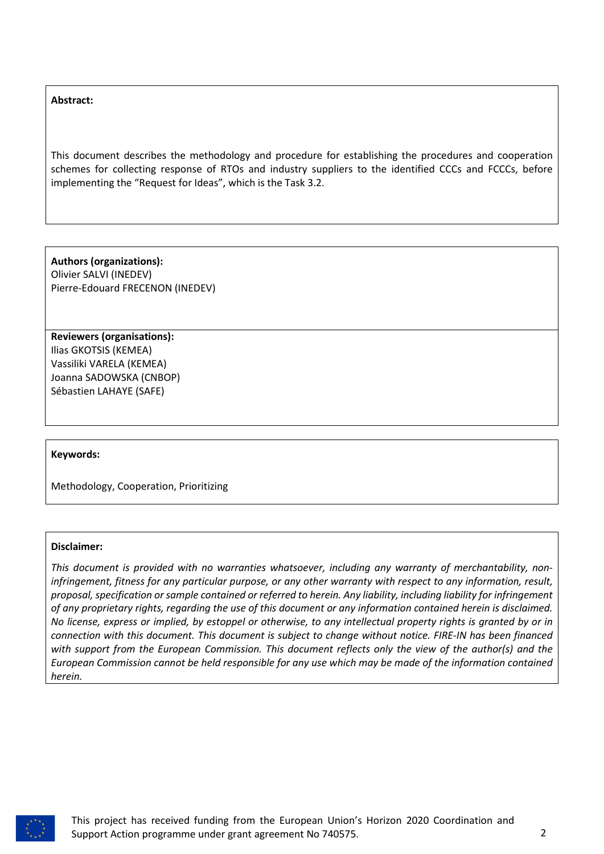#### **Abstract:**

This document describes the methodology and procedure for establishing the procedures and cooperation schemes for collecting response of RTOs and industry suppliers to the identified CCCs and FCCCs, before implementing the "Request for Ideas", which is the Task 3.2.

**Authors (organizations):** Olivier SALVI (INEDEV) Pierre-Edouard FRECENON (INEDEV)

**Reviewers (organisations):** Ilias GKOTSIS (KEMEA) Vassiliki VARELA (KEMEA) Joanna SADOWSKA (CNBOP) Sébastien LAHAYE (SAFE)

#### **Keywords:**

Methodology, Cooperation, Prioritizing

#### **Disclaimer:**

*This document is provided with no warranties whatsoever, including any warranty of merchantability, noninfringement, fitness for any particular purpose, or any other warranty with respect to any information, result, proposal, specification or sample contained or referred to herein. Any liability, including liability for infringement of any proprietary rights, regarding the use of this document or any information contained herein is disclaimed. No license, express or implied, by estoppel or otherwise, to any intellectual property rights is granted by or in connection with this document. This document is subject to change without notice. FIRE-IN has been financed with support from the European Commission. This document reflects only the view of the author(s) and the European Commission cannot be held responsible for any use which may be made of the information contained herein.* 

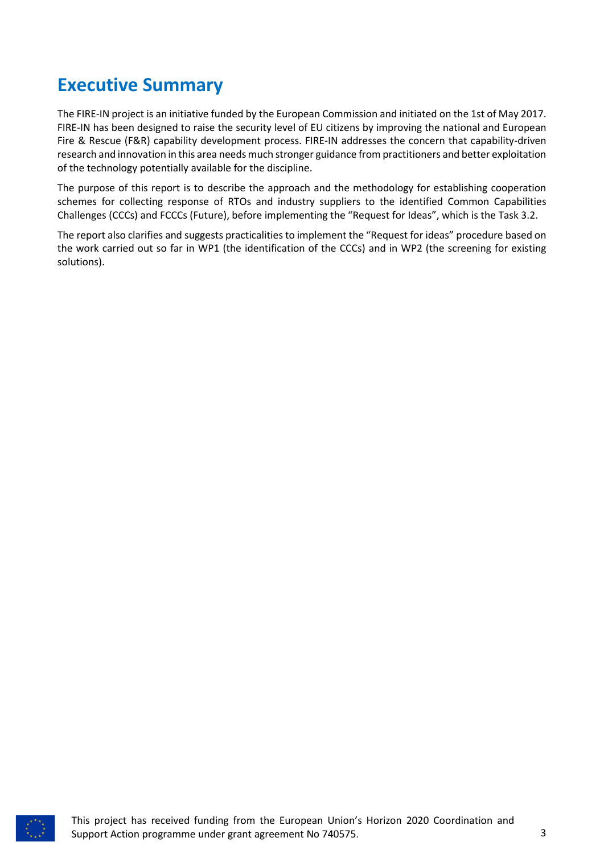### <span id="page-2-0"></span>**Executive Summary**

The FIRE-IN project is an initiative funded by the European Commission and initiated on the 1st of May 2017. FIRE-IN has been designed to raise the security level of EU citizens by improving the national and European Fire & Rescue (F&R) capability development process. FIRE-IN addresses the concern that capability-driven research and innovation in this area needs much stronger guidance from practitioners and better exploitation of the technology potentially available for the discipline.

The purpose of this report is to describe the approach and the methodology for establishing cooperation schemes for collecting response of RTOs and industry suppliers to the identified Common Capabilities Challenges (CCCs) and FCCCs (Future), before implementing the "Request for Ideas", which is the Task 3.2.

The report also clarifies and suggests practicalities to implement the "Request for ideas" procedure based on the work carried out so far in WP1 (the identification of the CCCs) and in WP2 (the screening for existing solutions).

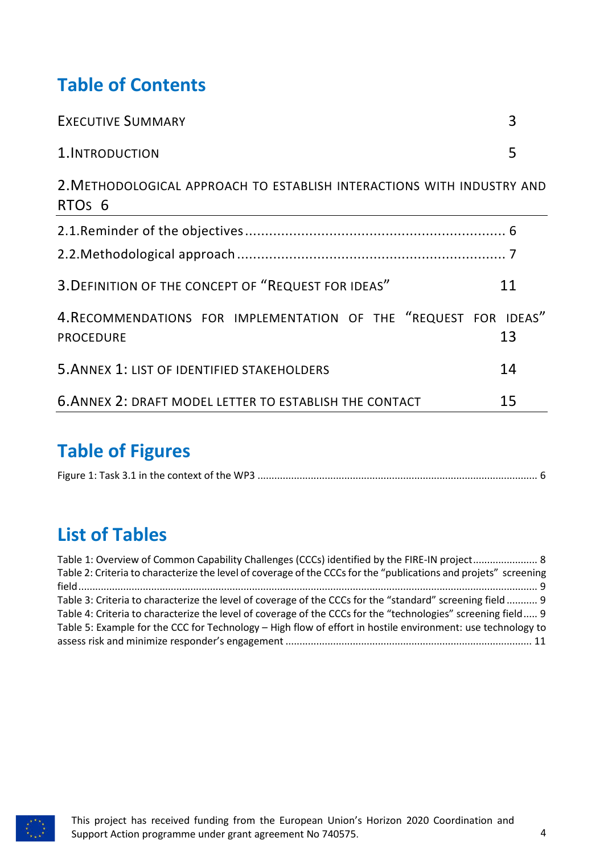## **Table of Contents**

| <b>EXECUTIVE SUMMARY</b>                                                                     | 3  |
|----------------------------------------------------------------------------------------------|----|
| 1. INTRODUCTION                                                                              | 5  |
| 2. METHODOLOGICAL APPROACH TO ESTABLISH INTERACTIONS WITH INDUSTRY AND<br>RTO <sub>s</sub> 6 |    |
|                                                                                              |    |
|                                                                                              |    |
| 3. DEFINITION OF THE CONCEPT OF "REQUEST FOR IDEAS"                                          | 11 |
| 4. RECOMMENDATIONS FOR IMPLEMENTATION OF THE "REQUEST FOR IDEAS"<br><b>PROCEDURE</b>         | 13 |
| 5. ANNEX 1: LIST OF IDENTIFIED STAKEHOLDERS                                                  | 14 |
| 6. ANNEX 2: DRAFT MODEL LETTER TO ESTABLISH THE CONTACT                                      | 15 |

### **Table of Figures**

|--|--|

### **List of Tables**

| Table 1: Overview of Common Capability Challenges (CCCs) identified by the FIRE-IN project 8                     |
|------------------------------------------------------------------------------------------------------------------|
| Table 2: Criteria to characterize the level of coverage of the CCCs for the "publications and projets" screening |
|                                                                                                                  |
| Table 3: Criteria to characterize the level of coverage of the CCCs for the "standard" screening field 9         |
| Table 4: Criteria to characterize the level of coverage of the CCCs for the "technologies" screening field 9     |
| Table 5: Example for the CCC for Technology – High flow of effort in hostile environment: use technology to      |
|                                                                                                                  |

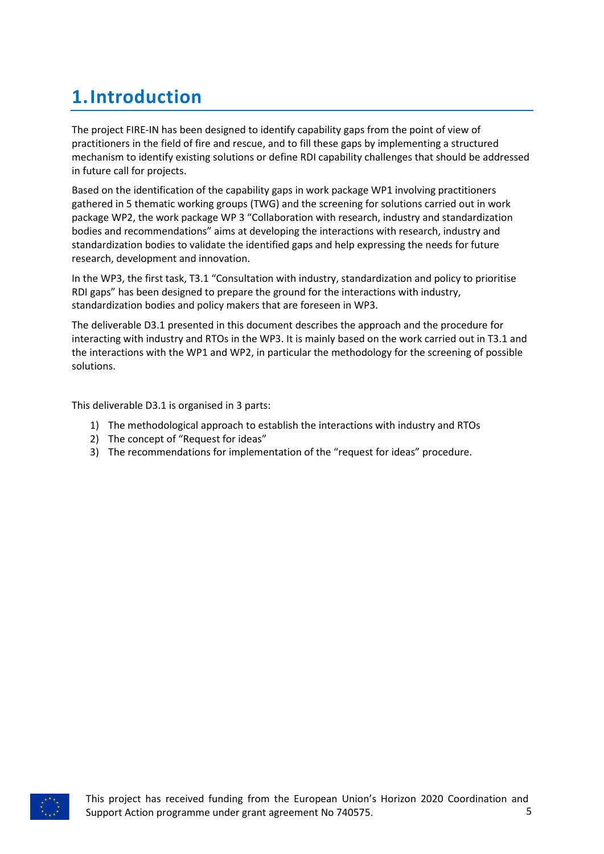# <span id="page-4-0"></span>**1.Introduction**

The project FIRE-IN has been designed to identify capability gaps from the point of view of practitioners in the field of fire and rescue, and to fill these gaps by implementing a structured mechanism to identify existing solutions or define RDI capability challenges that should be addressed in future call for projects.

Based on the identification of the capability gaps in work package WP1 involving practitioners gathered in 5 thematic working groups (TWG) and the screening for solutions carried out in work package WP2, the work package WP 3 "Collaboration with research, industry and standardization bodies and recommendations" aims at developing the interactions with research, industry and standardization bodies to validate the identified gaps and help expressing the needs for future research, development and innovation.

In the WP3, the first task, T3.1 "Consultation with industry, standardization and policy to prioritise RDI gaps" has been designed to prepare the ground for the interactions with industry, standardization bodies and policy makers that are foreseen in WP3.

The deliverable D3.1 presented in this document describes the approach and the procedure for interacting with industry and RTOs in the WP3. It is mainly based on the work carried out in T3.1 and the interactions with the WP1 and WP2, in particular the methodology for the screening of possible solutions.

This deliverable D3.1 is organised in 3 parts:

- 1) The methodological approach to establish the interactions with industry and RTOs
- 2) The concept of "Request for ideas"
- 3) The recommendations for implementation of the "request for ideas" procedure.

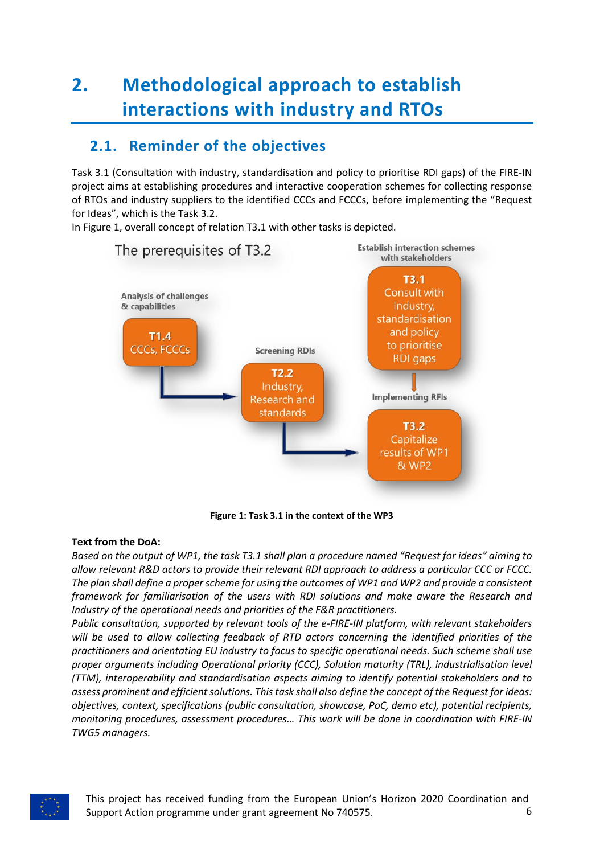# <span id="page-5-0"></span>**2. Methodological approach to establish interactions with industry and RTOs**

### <span id="page-5-1"></span>**2.1. Reminder of the objectives**

Task 3.1 (Consultation with industry, standardisation and policy to prioritise RDI gaps) of the FIRE-IN project aims at establishing procedures and interactive cooperation schemes for collecting response of RTOs and industry suppliers to the identified CCCs and FCCCs, before implementing the "Request for Ideas", which is the Task 3.2.

In Figure 1, overall concept of relation T3.1 with other tasks is depicted.



**Figure 1: Task 3.1 in the context of the WP3**

#### <span id="page-5-2"></span>**Text from the DoA:**

*Based on the output of WP1, the task T3.1 shall plan a procedure named "Request for ideas" aiming to allow relevant R&D actors to provide their relevant RDI approach to address a particular CCC or FCCC. The plan shall define a proper scheme for using the outcomes of WP1 and WP2 and provide a consistent framework for familiarisation of the users with RDI solutions and make aware the Research and Industry of the operational needs and priorities of the F&R practitioners.*

*Public consultation, supported by relevant tools of the e-FIRE-IN platform, with relevant stakeholders will be used to allow collecting feedback of RTD actors concerning the identified priorities of the practitioners and orientating EU industry to focus to specific operational needs. Such scheme shall use proper arguments including Operational priority (CCC), Solution maturity (TRL), industrialisation level (TTM), interoperability and standardisation aspects aiming to identify potential stakeholders and to assess prominent and efficient solutions. This task shall also define the concept of the Request for ideas: objectives, context, specifications (public consultation, showcase, PoC, demo etc), potential recipients, monitoring procedures, assessment procedures… This work will be done in coordination with FIRE-IN TWG5 managers.*

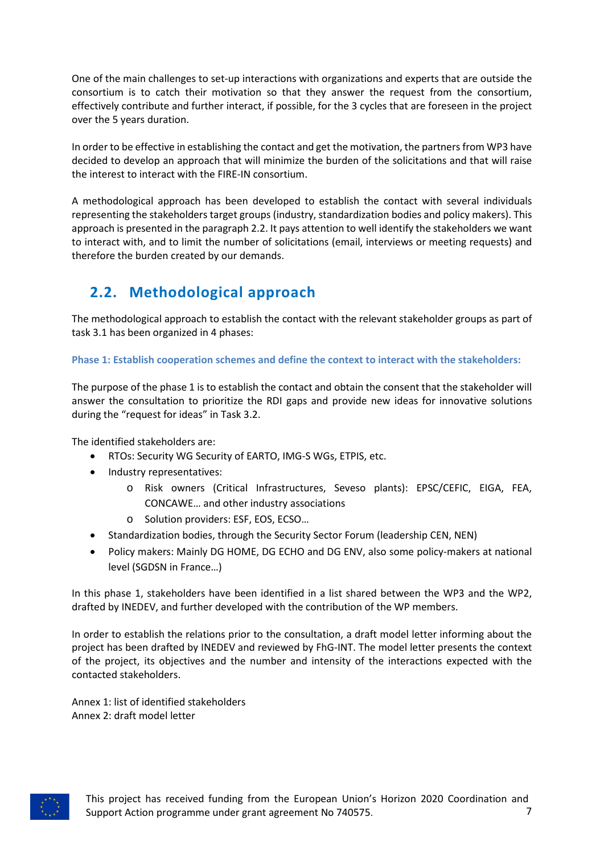One of the main challenges to set-up interactions with organizations and experts that are outside the consortium is to catch their motivation so that they answer the request from the consortium, effectively contribute and further interact, if possible, for the 3 cycles that are foreseen in the project over the 5 years duration.

In order to be effective in establishing the contact and get the motivation, the partners from WP3 have decided to develop an approach that will minimize the burden of the solicitations and that will raise the interest to interact with the FIRE-IN consortium.

A methodological approach has been developed to establish the contact with several individuals representing the stakeholders target groups (industry, standardization bodies and policy makers). This approach is presented in the paragraph 2.2. It pays attention to well identify the stakeholders we want to interact with, and to limit the number of solicitations (email, interviews or meeting requests) and therefore the burden created by our demands.

### <span id="page-6-0"></span>**2.2. Methodological approach**

The methodological approach to establish the contact with the relevant stakeholder groups as part of task 3.1 has been organized in 4 phases:

#### **Phase 1: Establish cooperation schemes and define the context to interact with the stakeholders:**

The purpose of the phase 1 is to establish the contact and obtain the consent that the stakeholder will answer the consultation to prioritize the RDI gaps and provide new ideas for innovative solutions during the "request for ideas" in Task 3.2.

The identified stakeholders are:

- RTOs: Security WG Security of EARTO, IMG-S WGs, ETPIS, etc.
- Industry representatives:
	- o Risk owners (Critical Infrastructures, Seveso plants): EPSC/CEFIC, EIGA, FEA, CONCAWE… and other industry associations
	- o Solution providers: ESF, EOS, ECSO…
- Standardization bodies, through the Security Sector Forum (leadership CEN, NEN)
- Policy makers: Mainly DG HOME, DG ECHO and DG ENV, also some policy-makers at national level (SGDSN in France…)

In this phase 1, stakeholders have been identified in a list shared between the WP3 and the WP2, drafted by INEDEV, and further developed with the contribution of the WP members.

In order to establish the relations prior to the consultation, a draft model letter informing about the project has been drafted by INEDEV and reviewed by FhG-INT. The model letter presents the context of the project, its objectives and the number and intensity of the interactions expected with the contacted stakeholders.

Annex 1: list of identified stakeholders Annex 2: draft model letter

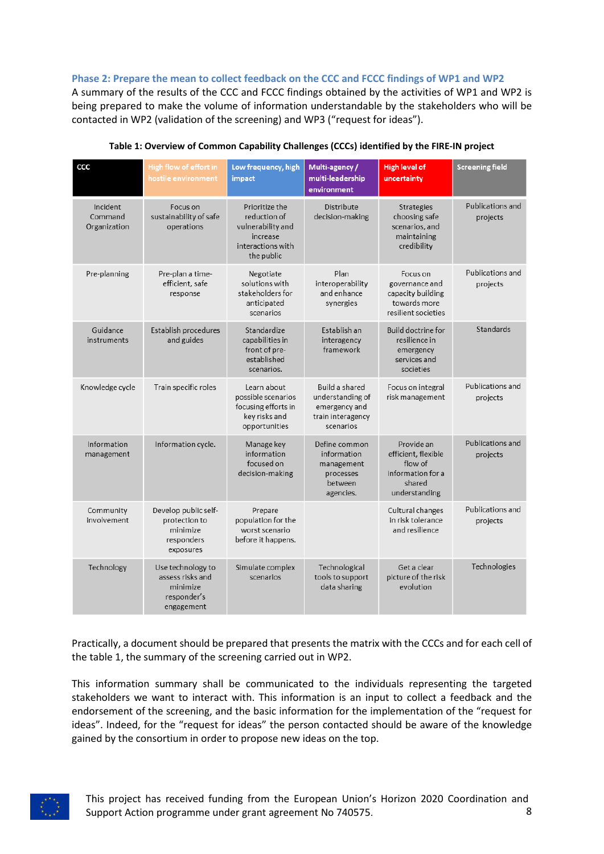#### **Phase 2: Prepare the mean to collect feedback on the CCC and FCCC findings of WP1 and WP2**

A summary of the results of the CCC and FCCC findings obtained by the activities of WP1 and WP2 is being prepared to make the volume of information understandable by the stakeholders who will be contacted in WP2 (validation of the screening) and WP3 ("request for ideas").

<span id="page-7-0"></span>

| CCC                                 | High flow of effort in<br>hostile environment                                  | Low frequency, high<br>impact                                                                      | Multi-agency/<br>multi-leadership<br>environment                                      | <b>High level of</b><br>uncertainty                                                          | <b>Screening field</b>       |
|-------------------------------------|--------------------------------------------------------------------------------|----------------------------------------------------------------------------------------------------|---------------------------------------------------------------------------------------|----------------------------------------------------------------------------------------------|------------------------------|
| Incident<br>Command<br>Organization | Focus on<br>sustainability of safe<br>operations                               | Prioritize the<br>reduction of<br>vulnerability and<br>increase<br>interactions with<br>the public | Distribute<br>decision-making                                                         | <b>Strategies</b><br>choosing safe<br>scenarios, and<br>maintaining<br>credibility           | Publications and<br>projects |
| Pre-planning                        | Pre-plan a time-<br>efficient, safe<br>response                                | Negotiate<br>solutions with<br>stakeholders for<br>anticipated<br>scenarios                        | Plan<br>interoperability<br>and enhance<br>synergies                                  | Focus on<br>governance and<br>capacity building<br>towards more<br>resilient societies       | Publications and<br>projects |
| Guidance<br>instruments             | Establish procedures<br>and guides                                             | Standardize<br>capabilities in<br>front of pre-<br>established<br>scenarios.                       | Establish an<br>interagency<br>framework                                              | <b>Build doctrine for</b><br>resilience in<br>emergency<br>services and<br>societies         | Standards                    |
| Knowledge cycle                     | Train specific roles                                                           | Learn about<br>possible scenarios<br>focusing efforts in<br>key risks and<br>opportunities         | Build a shared<br>understanding of<br>emergency and<br>train interagency<br>scenarios | Focus on integral<br>risk management                                                         | Publications and<br>projects |
| Information<br>management           | Information cycle.                                                             | Manage key<br>information<br>focused on<br>decision-making                                         | Define common<br>information<br>management<br>processes<br>between<br>agencies.       | Provide an<br>efficient, flexible<br>flow of<br>information for a<br>shared<br>understanding | Publications and<br>projects |
| Community<br>involvement            | Develop public self-<br>protection to<br>minimize<br>responders<br>exposures   | Prepare<br>population for the<br>worst scenario<br>before it happens.                              |                                                                                       | Cultural changes<br>in risk tolerance<br>and resilience                                      | Publications and<br>projects |
| Technology                          | Use technology to<br>assess risks and<br>minimize<br>responder's<br>engagement | Simulate complex<br>scenarios                                                                      | Technological<br>tools to support<br>data sharing                                     | Get a clear<br>picture of the risk<br>evolution                                              | Technologies                 |

**Table 1: Overview of Common Capability Challenges (CCCs) identified by the FIRE-IN project**

Practically, a document should be prepared that presents the matrix with the CCCs and for each cell of the table 1, the summary of the screening carried out in WP2.

This information summary shall be communicated to the individuals representing the targeted stakeholders we want to interact with. This information is an input to collect a feedback and the endorsement of the screening, and the basic information for the implementation of the "request for ideas". Indeed, for the "request for ideas" the person contacted should be aware of the knowledge gained by the consortium in order to propose new ideas on the top.

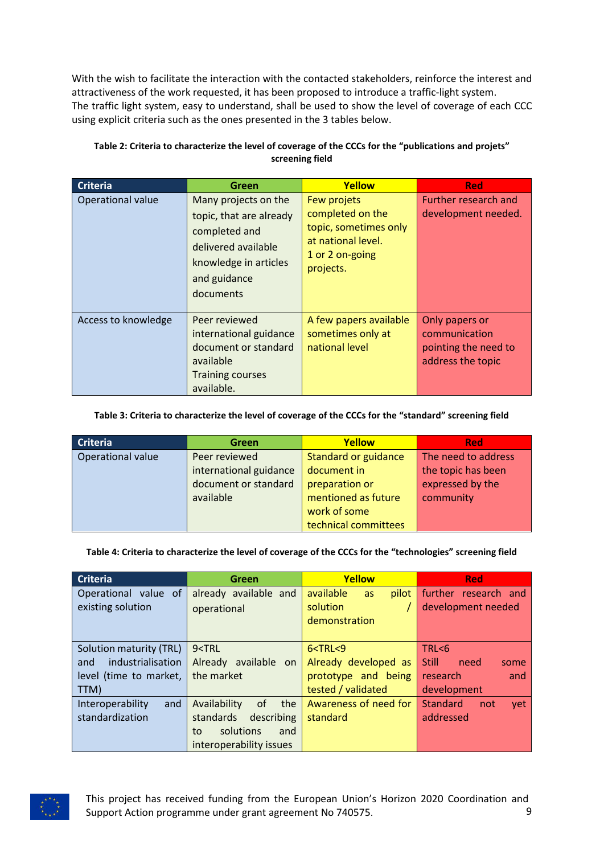With the wish to facilitate the interaction with the contacted stakeholders, reinforce the interest and attractiveness of the work requested, it has been proposed to introduce a traffic-light system. The traffic light system, easy to understand, shall be used to show the level of coverage of each CCC using explicit criteria such as the ones presented in the 3 tables below.

| <b>Criteria</b>     | Green                                                                                                                                         | Yellow                                                                                                         | <b>Red</b>                                                                   |
|---------------------|-----------------------------------------------------------------------------------------------------------------------------------------------|----------------------------------------------------------------------------------------------------------------|------------------------------------------------------------------------------|
| Operational value   | Many projects on the<br>topic, that are already<br>completed and<br>delivered available<br>knowledge in articles<br>and guidance<br>documents | Few projets<br>completed on the<br>topic, sometimes only<br>at national level.<br>1 or 2 on-going<br>projects. | Further research and<br>development needed.                                  |
| Access to knowledge | Peer reviewed<br>international guidance<br>document or standard<br>available<br><b>Training courses</b><br>available.                         | A few papers available<br>sometimes only at<br>national level                                                  | Only papers or<br>communication<br>pointing the need to<br>address the topic |

#### <span id="page-8-0"></span>**Table 2: Criteria to characterize the level of coverage of the CCCs for the "publications and projets" screening field**

#### <span id="page-8-1"></span>**Table 3: Criteria to characterize the level of coverage of the CCCs for the "standard" screening field**

| <b>Criteria</b>   | Green                  | Yellow                      | <b>Red</b>          |
|-------------------|------------------------|-----------------------------|---------------------|
| Operational value | Peer reviewed          | <b>Standard or guidance</b> | The need to address |
|                   | international guidance | document in                 | the topic has been  |
|                   | document or standard   | preparation or              | expressed by the    |
|                   | available              | mentioned as future         | community           |
|                   |                        | work of some                |                     |
|                   |                        | technical committees        |                     |

#### <span id="page-8-2"></span>**Table 4: Criteria to characterize the level of coverage of the CCCs for the "technologies" screening field**

| <b>Criteria</b>                                                                       | Green                                                                                                     | Yellow                                                                           | <b>Red</b>                                                                 |  |
|---------------------------------------------------------------------------------------|-----------------------------------------------------------------------------------------------------------|----------------------------------------------------------------------------------|----------------------------------------------------------------------------|--|
| Operational value of<br>existing solution                                             | already available and<br>operational                                                                      | available<br>pilot<br>as<br>solution<br>demonstration                            | further research and<br>development needed                                 |  |
| Solution maturity (TRL)<br>industrialisation<br>and<br>level (time to market,<br>TTM) | 9 <trl<br>Already available on<br/>the market</trl<br>                                                    | 6 < TRL < 9<br>Already developed as<br>prototype and being<br>tested / validated | TRL < 6<br><b>Still</b><br>need<br>some<br>research.<br>and<br>development |  |
| Interoperability<br>and<br>standardization                                            | Availability<br>0f<br>the<br>standards<br>describing<br>solutions<br>and<br>to<br>interoperability issues | Awareness of need for<br>standard                                                | Standard<br>yet<br>not<br>addressed                                        |  |

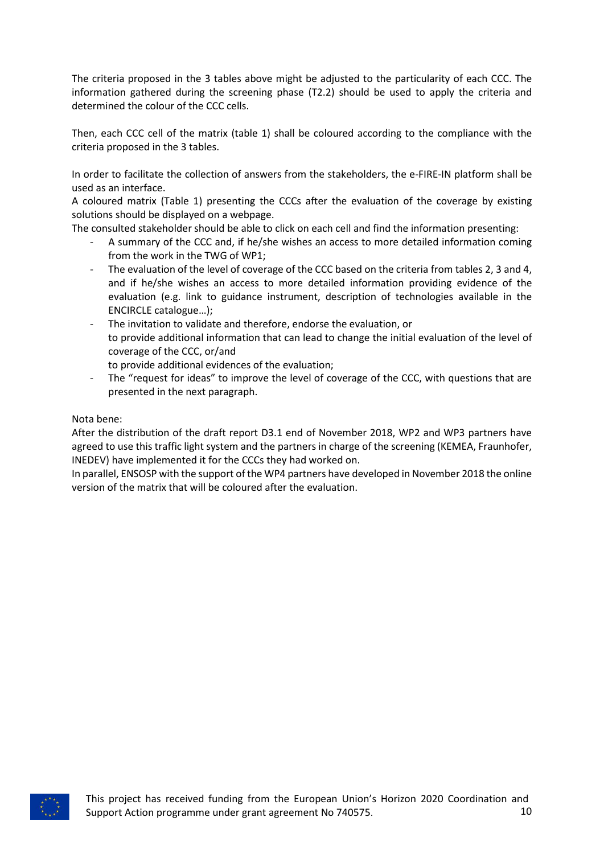The criteria proposed in the 3 tables above might be adjusted to the particularity of each CCC. The information gathered during the screening phase (T2.2) should be used to apply the criteria and determined the colour of the CCC cells.

Then, each CCC cell of the matrix (table 1) shall be coloured according to the compliance with the criteria proposed in the 3 tables.

In order to facilitate the collection of answers from the stakeholders, the e-FIRE-IN platform shall be used as an interface.

A coloured matrix (Table 1) presenting the CCCs after the evaluation of the coverage by existing solutions should be displayed on a webpage.

The consulted stakeholder should be able to click on each cell and find the information presenting:

- A summary of the CCC and, if he/she wishes an access to more detailed information coming from the work in the TWG of WP1;
- The evaluation of the level of coverage of the CCC based on the criteria from tables 2, 3 and 4, and if he/she wishes an access to more detailed information providing evidence of the evaluation (e.g. link to guidance instrument, description of technologies available in the ENCIRCLE catalogue…);
- The invitation to validate and therefore, endorse the evaluation, or to provide additional information that can lead to change the initial evaluation of the level of coverage of the CCC, or/and
	- to provide additional evidences of the evaluation;
- The "request for ideas" to improve the level of coverage of the CCC, with questions that are presented in the next paragraph.

Nota bene:

After the distribution of the draft report D3.1 end of November 2018, WP2 and WP3 partners have agreed to use this traffic light system and the partners in charge of the screening (KEMEA, Fraunhofer, INEDEV) have implemented it for the CCCs they had worked on.

In parallel, ENSOSP with the support of the WP4 partners have developed in November 2018 the online version of the matrix that will be coloured after the evaluation.

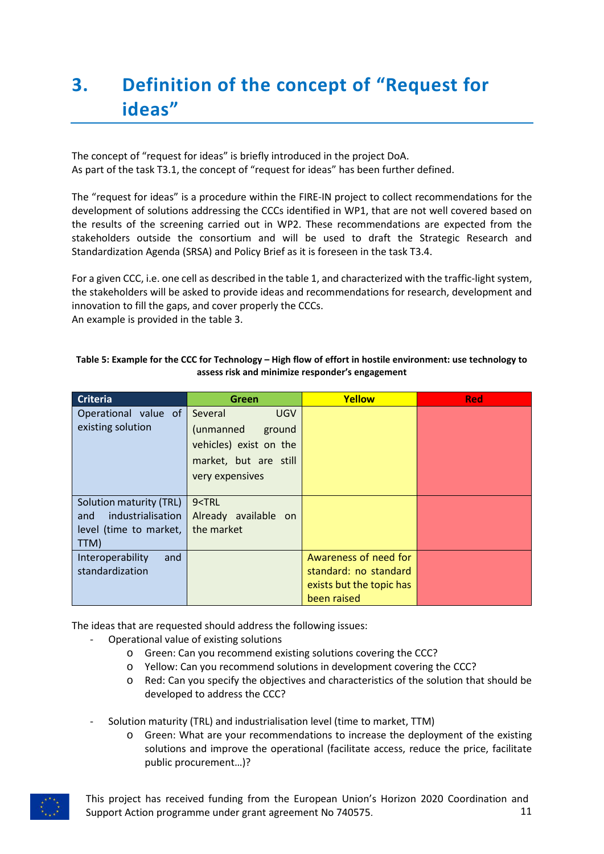# <span id="page-10-0"></span>**3. Definition of the concept of "Request for ideas"**

The concept of "request for ideas" is briefly introduced in the project DoA. As part of the task T3.1, the concept of "request for ideas" has been further defined.

The "request for ideas" is a procedure within the FIRE-IN project to collect recommendations for the development of solutions addressing the CCCs identified in WP1, that are not well covered based on the results of the screening carried out in WP2. These recommendations are expected from the stakeholders outside the consortium and will be used to draft the Strategic Research and Standardization Agenda (SRSA) and Policy Brief as it is foreseen in the task T3.4.

For a given CCC, i.e. one cell as described in the table 1, and characterized with the traffic-light system, the stakeholders will be asked to provide ideas and recommendations for research, development and innovation to fill the gaps, and cover properly the CCCs. An example is provided in the table 3.

| <b>Criteria</b>          | Green                                   | Yellow                   | <b>Red</b> |
|--------------------------|-----------------------------------------|--------------------------|------------|
| Operational value of     | Several<br><b>UGV</b>                   |                          |            |
| existing solution        | (unmanned<br>ground                     |                          |            |
|                          | vehicles) exist on the                  |                          |            |
|                          | market, but are still                   |                          |            |
|                          | very expensives                         |                          |            |
|                          |                                         |                          |            |
| Solution maturity (TRL)  | 9 <trl< td=""><td></td><td></td></trl<> |                          |            |
| industrialisation<br>and | Already available on                    |                          |            |
| level (time to market,   | the market                              |                          |            |
| TTM)                     |                                         |                          |            |
| Interoperability<br>and  |                                         | Awareness of need for    |            |
| standardization          |                                         | standard: no standard    |            |
|                          |                                         | exists but the topic has |            |
|                          |                                         | been raised              |            |

#### <span id="page-10-1"></span>**Table 5: Example for the CCC for Technology – High flow of effort in hostile environment: use technology to assess risk and minimize responder's engagement**

The ideas that are requested should address the following issues:

- Operational value of existing solutions
	- o Green: Can you recommend existing solutions covering the CCC?
	- o Yellow: Can you recommend solutions in development covering the CCC?
	- o Red: Can you specify the objectives and characteristics of the solution that should be developed to address the CCC?
- Solution maturity (TRL) and industrialisation level (time to market, TTM)
	- o Green: What are your recommendations to increase the deployment of the existing solutions and improve the operational (facilitate access, reduce the price, facilitate public procurement…)?



This project has received funding from the European Union's Horizon 2020 Coordination and Support Action programme under grant agreement No 740575. 11 11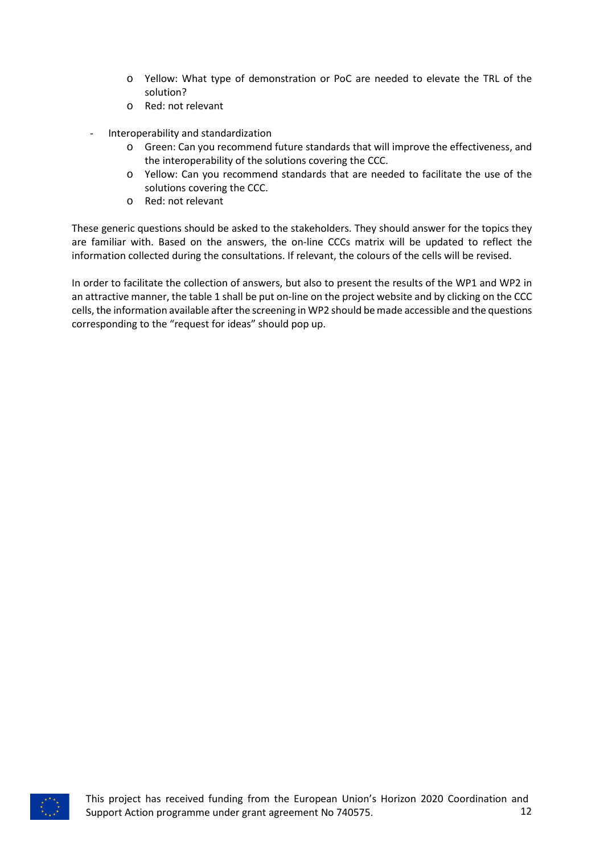- o Yellow: What type of demonstration or PoC are needed to elevate the TRL of the solution?
- o Red: not relevant
- Interoperability and standardization
	- o Green: Can you recommend future standards that will improve the effectiveness, and the interoperability of the solutions covering the CCC.
	- o Yellow: Can you recommend standards that are needed to facilitate the use of the solutions covering the CCC.
	- o Red: not relevant

These generic questions should be asked to the stakeholders. They should answer for the topics they are familiar with. Based on the answers, the on-line CCCs matrix will be updated to reflect the information collected during the consultations. If relevant, the colours of the cells will be revised.

In order to facilitate the collection of answers, but also to present the results of the WP1 and WP2 in an attractive manner, the table 1 shall be put on-line on the project website and by clicking on the CCC cells, the information available after the screening in WP2 should be made accessible and the questions corresponding to the "request for ideas" should pop up.

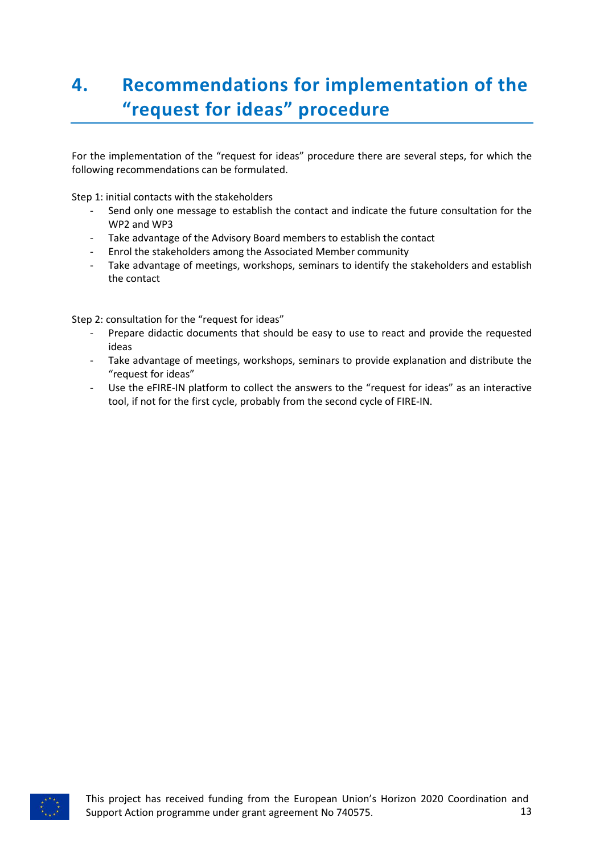# <span id="page-12-0"></span>**4. Recommendations for implementation of the "request for ideas" procedure**

For the implementation of the "request for ideas" procedure there are several steps, for which the following recommendations can be formulated.

Step 1: initial contacts with the stakeholders

- Send only one message to establish the contact and indicate the future consultation for the WP2 and WP3
- Take advantage of the Advisory Board members to establish the contact
- Enrol the stakeholders among the Associated Member community
- Take advantage of meetings, workshops, seminars to identify the stakeholders and establish the contact

Step 2: consultation for the "request for ideas"

- Prepare didactic documents that should be easy to use to react and provide the requested ideas
- Take advantage of meetings, workshops, seminars to provide explanation and distribute the "request for ideas"
- Use the eFIRE-IN platform to collect the answers to the "request for ideas" as an interactive tool, if not for the first cycle, probably from the second cycle of FIRE-IN.

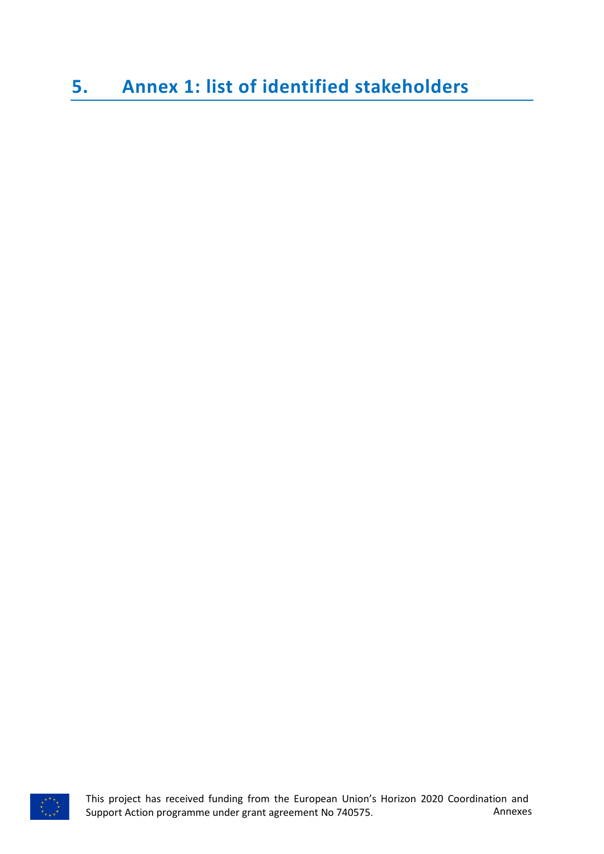### <span id="page-13-0"></span>**5. Annex 1: list of identified stakeholders**

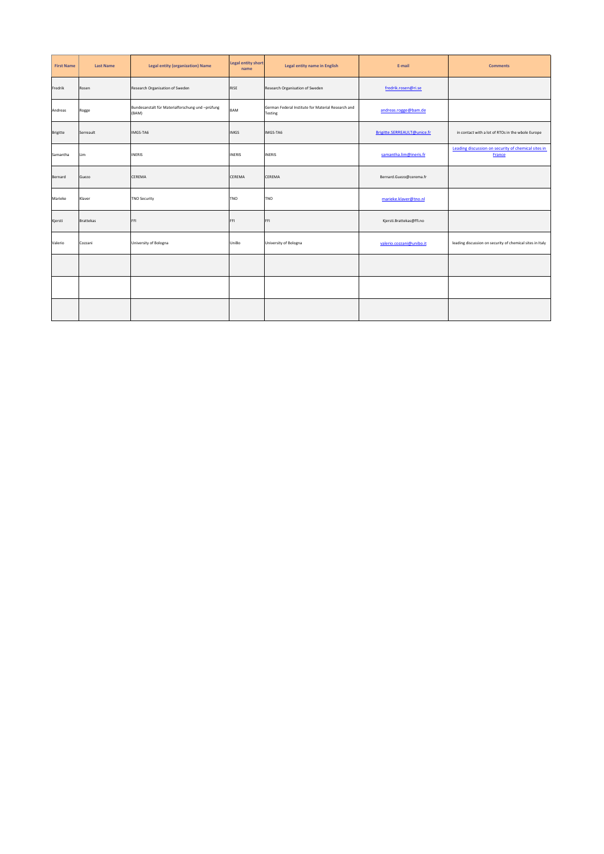| <b>First Name</b> | <b>Last Name</b> | <b>Legal entity (organization) Name</b>                   | <b>Legal entity short</b><br>name | Legal entity name in English                                  | E-mail                      | <b>Comments</b>                                               |
|-------------------|------------------|-----------------------------------------------------------|-----------------------------------|---------------------------------------------------------------|-----------------------------|---------------------------------------------------------------|
| Fredrik           | Rosen            | Research Organisation of Sweden                           | RISE                              | Research Organisation of Sweden                               | fredrik.rosen@ri.se         |                                                               |
| Andreas           | Rogge            | Bundesanstalt für Materialforschung und -prüfung<br>(BAM) | BAM                               | German Federal Institute for Material Research and<br>Testing | andreas.rogge@bam.de        |                                                               |
| <b>Brigitte</b>   | Serreault        | IMGS-TA6                                                  | <b>IMGS</b>                       | IMGS-TA6                                                      | Brigitte.SERREAULT@unice.fr | in contact with a lot of RTOs in the wbole Europe             |
| Samantha          | Lim              | <b>INERIS</b>                                             | INERIS                            | <b>INERIS</b>                                                 | samantha.lim@ineris.fr      | Leading discussion on security of chemical sites in<br>France |
| Bernard           | Guezo            | CEREMA                                                    | CEREMA                            | CEREMA                                                        | Bernard.Guezo@cerema.fr     |                                                               |
| Marieke           | Klaver           | <b>TNO Security</b>                                       | TNO                               | TNO                                                           | marieke.klaver@tno.nl       |                                                               |
| Kjersti           | <b>Brattekas</b> | FFI                                                       | FFI                               | FFI                                                           | Kjersti.Brattekas@ffi.no    |                                                               |
| Valerio           | Cozzani          | University of Bologna                                     | UniBo                             | University of Bologna                                         | valerio.cozzani@unibo.it    | leading discussion on security of chemical sites in Italy     |
|                   |                  |                                                           |                                   |                                                               |                             |                                                               |
|                   |                  |                                                           |                                   |                                                               |                             |                                                               |
|                   |                  |                                                           |                                   |                                                               |                             |                                                               |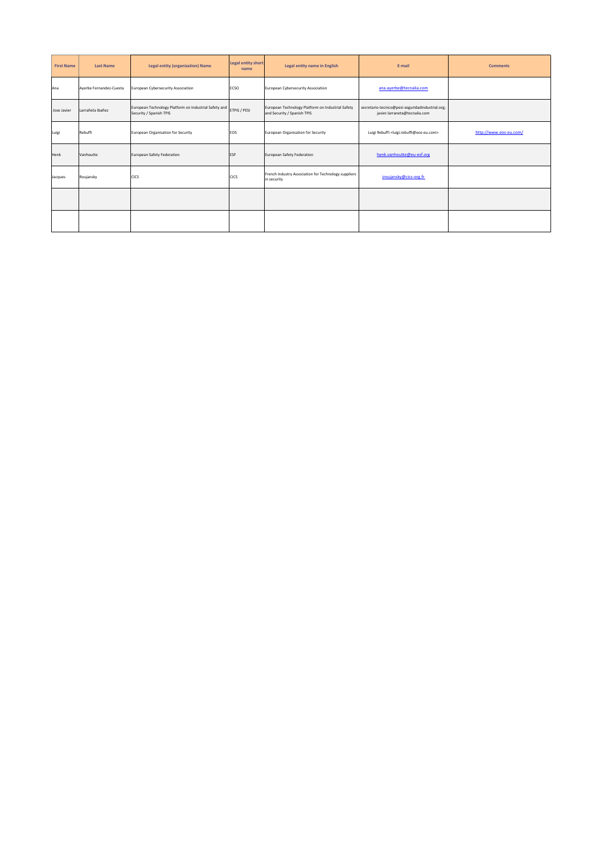| <b>First Name</b> | <b>Last Name</b>        | <b>Legal entity (organization) Name</b>                                          | <b>Legal entity short</b><br>name | Legal entity name in English                                                     | E-mail                                                                            | <b>Comments</b>        |
|-------------------|-------------------------|----------------------------------------------------------------------------------|-----------------------------------|----------------------------------------------------------------------------------|-----------------------------------------------------------------------------------|------------------------|
| Ana               | Ayerbe Fernandez-Cuesta | European Cybersecurity Association                                               | ECSO                              | European Cybersecurity Association                                               | ana.ayerbe@tecnalia.com                                                           |                        |
| Jose Javier       | Larrañeta Ibañez        | European Technology Platform on Industrial Safety and<br>Security / Spanish TPIS | ETPIS / PESI                      | European Technology Platform on Industrial Safety<br>and Security / Spanish TPIS | secretario-tecnico@pesi-seguridadindustrial.org;<br>javier.larraneta@tecnalia.com |                        |
| Luigi             | Rebuffi                 | European Organisation for Security                                               | EOS                               | European Organisation for Security                                               | Luigi Rebuffi <luigi.rebuffi@eos-eu.com></luigi.rebuffi@eos-eu.com>               | http://www.eos-eu.com/ |
| Henk              | Vanhoutte               | European Safety Federation                                                       | <b>ESF</b>                        | European Safety Federation                                                       | henk.vanhoutte@eu-esf.org                                                         |                        |
| Jacques           | Roujansky               | <b>CICS</b>                                                                      | CICS                              | French Industry Association for Technology suppliers<br>in security              | jroujansky@cics-org.fr                                                            |                        |
|                   |                         |                                                                                  |                                   |                                                                                  |                                                                                   |                        |
|                   |                         |                                                                                  |                                   |                                                                                  |                                                                                   |                        |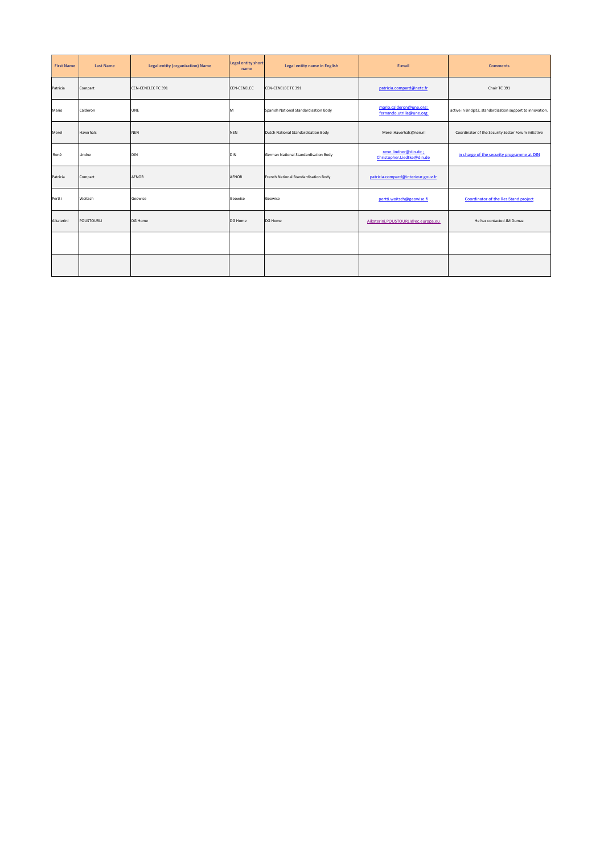| <b>First Name</b> | <b>Last Name</b>  | <b>Legal entity (organization) Name</b> | <b>Legal entity short</b><br>name | Legal entity name in English          | E-mail                                              | <b>Comments</b>                                            |
|-------------------|-------------------|-----------------------------------------|-----------------------------------|---------------------------------------|-----------------------------------------------------|------------------------------------------------------------|
| Patricia          | Compart           | CEN-CENELEC TC 391                      | <b>CEN-CENELEC</b>                | CEN-CENELECTC 391                     | patricia.compard@netc.fr                            | Chair TC 391                                               |
| Mario             | Calderon          | UNE                                     | M                                 | Spanish National Standardisation Body | mario.calderon@une.org;<br>fernando.utrilla@une.org | active in Bridgit2, standardization support to innovation. |
| Merel             | Haverhals         | <b>NEN</b>                              | <b>NEN</b>                        | Dutch National Standardisation Body   | Merel.Haverhals@nen.nl                              | Coordinator of the Security Sector Forum initiative        |
| René              | Lindne            | DIN                                     | <b>DIN</b>                        | German National Standardisation Body  | rene.lindner@din.de;<br>Christopher.Liedtke@din.de  | in charge of the security programme at DIN                 |
| Patricia          | Compart           | AFNOR                                   | AFNOR                             | French National Standardisation Body  | patricia.compard@interieur.gouv.fr                  |                                                            |
| Pertti            | Woitsch           | Geowise                                 | Geowise                           | Geowise                               | pertti.woitsch@geowise.fi                           | Coordinator of the ResiStand project                       |
| Aikaterini        | <b>POUSTOURLI</b> | <b>DG Home</b>                          | DG Home                           | DG Home                               | Aikaterini.POUSTOURLI@ec.europa.eu                  | He has contacted JM Dumaz                                  |
|                   |                   |                                         |                                   |                                       |                                                     |                                                            |
|                   |                   |                                         |                                   |                                       |                                                     |                                                            |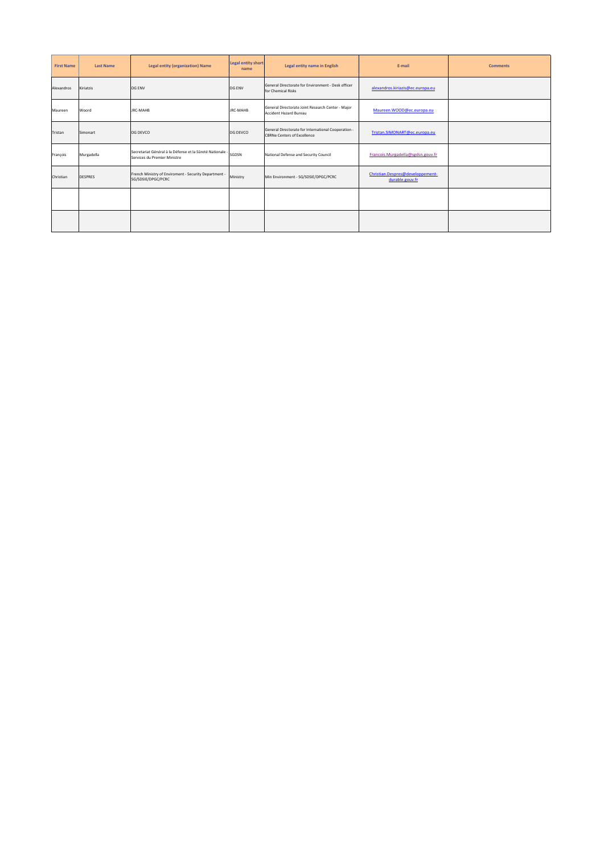| <b>First Name</b> | <b>Last Name</b> | <b>Legal entity (organization) Name</b>                                                   | <b>Legal entity short</b><br>name | Legal entity name in English                                                              | E-mail                                              | <b>Comments</b> |
|-------------------|------------------|-------------------------------------------------------------------------------------------|-----------------------------------|-------------------------------------------------------------------------------------------|-----------------------------------------------------|-----------------|
| Alexandros        | Kiriatzis        | DG ENV                                                                                    | DG ENV                            | General Directorate for Environment - Desk officer<br>for Chemical Risks                  | alexandros.kiriazis@ec.europa.eu                    |                 |
| Maureen           | Woord            | <b>JRC-MAHB</b>                                                                           | <b>JRC-MAHB</b>                   | General Directorate Joint Research Center - Major<br><b>Accident Hazard Bureau</b>        | Maureen.WOOD@ec.europa.eu                           |                 |
| Tristan           | Simonart         | DG DEVCO                                                                                  | DG DEVCO                          | General Directorate for International Cooperation -<br><b>CBRNe Centers of Excellence</b> | Tristan.SIMONART@ec.europa.eu                       |                 |
| François          | Murgadella       | Secretariat Général à la Défense et la Sûreté Nationale -<br>Services du Premier Ministre | SGDSN                             | National Defense and Security Council                                                     | Francois.Murgadella@sgdsn.gouv.fr                   |                 |
| Christian         | <b>DESPRES</b>   | French Ministry of Enviroment - Security Department -<br>SG/SDSIE/DPGC/PCRC               | Ministry                          | Min Environment - SG/SDSIE/DPGC/PCRC                                                      | Christian.Despres@developpement-<br>durable.gouv.fr |                 |
|                   |                  |                                                                                           |                                   |                                                                                           |                                                     |                 |
|                   |                  |                                                                                           |                                   |                                                                                           |                                                     |                 |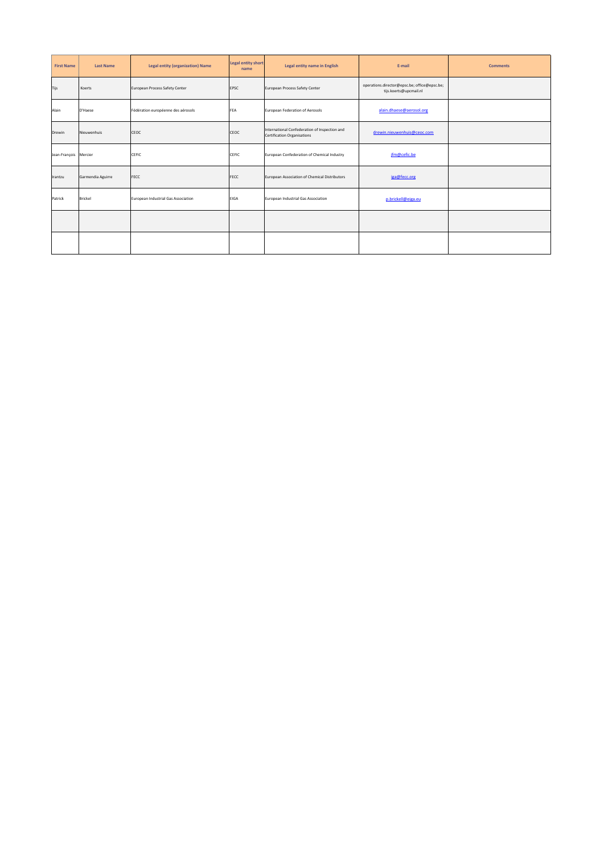| <b>First Name</b>     | <b>Last Name</b>  | <b>Legal entity (organization) Name</b> | <b>Legal entity short</b><br>name | Legal entity name in English                                                        | E-mail                                                                 | <b>Comments</b> |
|-----------------------|-------------------|-----------------------------------------|-----------------------------------|-------------------------------------------------------------------------------------|------------------------------------------------------------------------|-----------------|
| Tijs                  | Koerts            | European Process Safety Center          | EPSC                              | European Process Safety Center                                                      | operations.director@epsc.be; office@epsc.be;<br>tijs.koerts@upcmail.nl |                 |
| Alain                 | D'Haese           | Fédération européenne des aérosols      | <b>FEA</b>                        | European Federation of Aerosols                                                     | alain.dhaese@aerosol.org                                               |                 |
| <b>Drewin</b>         | Nieuwenhuis       | CEOC                                    | CEOC                              | International Confederation of Inspection and<br><b>Certification Organisations</b> | drewin.nieuwenhuis@ceoc.com                                            |                 |
| Jean-François Mercier |                   | CEFIC                                   | CEFIC                             | European Confederation of Chemical Industry                                         | jfm@cefic.be                                                           |                 |
| Irantzu               | Garmendia Aguirre | <b>FECC</b>                             | FECC                              | European Association of Chemical Distributors                                       | iga@fecc.org                                                           |                 |
| Patrick               | <b>Brickel</b>    | European Industrial Gas Association     | <b>EIGA</b>                       | European Industrial Gas Association                                                 | p.brickell@eiga.eu                                                     |                 |
|                       |                   |                                         |                                   |                                                                                     |                                                                        |                 |
|                       |                   |                                         |                                   |                                                                                     |                                                                        |                 |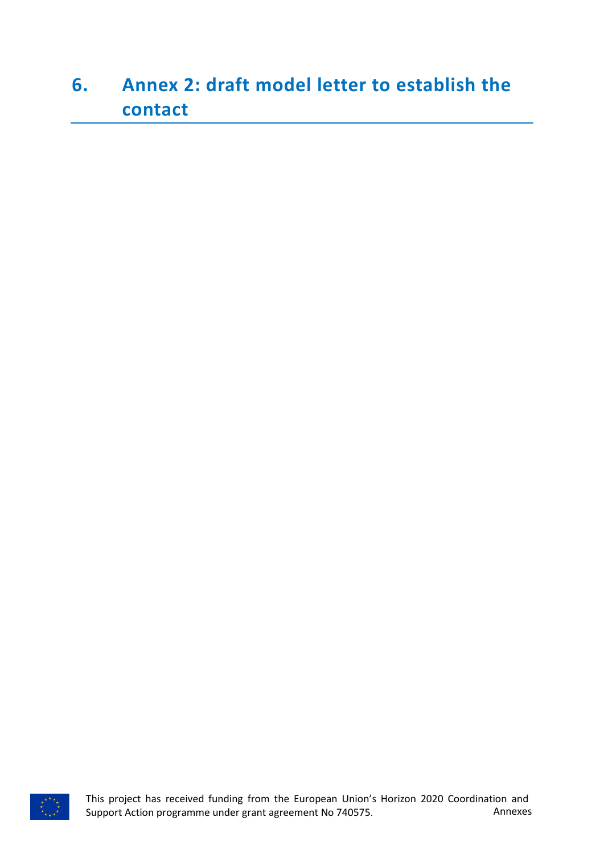## <span id="page-19-0"></span>**6. Annex 2: draft model letter to establish the contact**